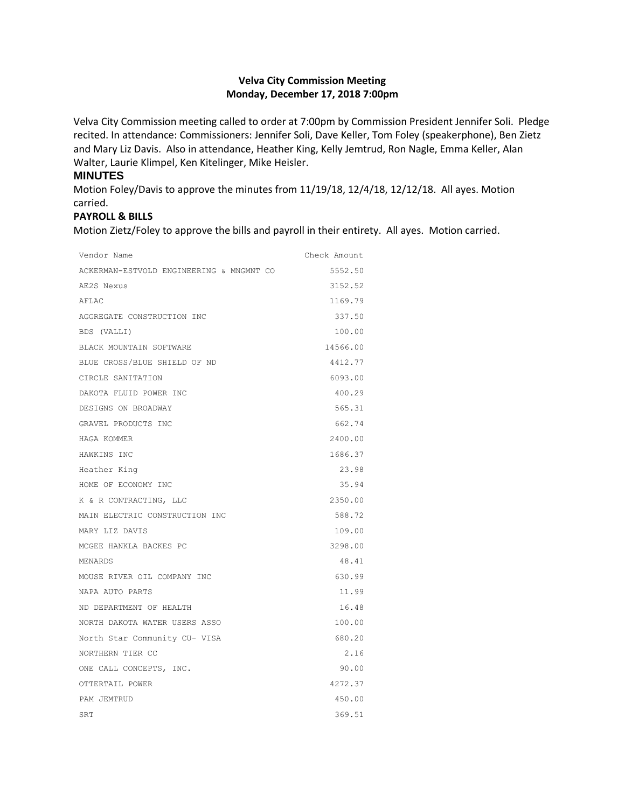# **Velva City Commission Meeting Monday, December 17, 2018 7:00pm**

Velva City Commission meeting called to order at 7:00pm by Commission President Jennifer Soli. Pledge recited. In attendance: Commissioners: Jennifer Soli, Dave Keller, Tom Foley (speakerphone), Ben Zietz and Mary Liz Davis. Also in attendance, Heather King, Kelly Jemtrud, Ron Nagle, Emma Keller, Alan Walter, Laurie Klimpel, Ken Kitelinger, Mike Heisler.

#### **MINUTES**

Motion Foley/Davis to approve the minutes from 11/19/18, 12/4/18, 12/12/18. All ayes. Motion carried.

### **PAYROLL & BILLS**

Motion Zietz/Foley to approve the bills and payroll in their entirety. All ayes. Motion carried.

| Vendor Name                              | Check Amount |
|------------------------------------------|--------------|
| ACKERMAN-ESTVOLD ENGINEERING & MNGMNT CO | 5552.50      |
| AE2S Nexus                               | 3152.52      |
| AFLAC                                    | 1169.79      |
| AGGREGATE CONSTRUCTION INC               | 337.50       |
| BDS (VALLI)                              | 100.00       |
| BLACK MOUNTAIN SOFTWARE                  | 14566.00     |
| BLUE CROSS/BLUE SHIELD OF ND             | 4412.77      |
| CIRCLE SANITATION                        | 6093.00      |
| DAKOTA FLUID POWER INC                   | 400.29       |
| DESIGNS ON BROADWAY                      | 565.31       |
| GRAVEL PRODUCTS INC                      | 662.74       |
| HAGA KOMMER                              | 2400.00      |
| HAWKINS INC                              | 1686.37      |
| Heather King                             | 23.98        |
| HOME OF ECONOMY INC                      | 35.94        |
| K & R CONTRACTING, LLC                   | 2350.00      |
| MAIN ELECTRIC CONSTRUCTION INC           | 588.72       |
| MARY LIZ DAVIS                           | 109.00       |
| MCGEE HANKLA BACKES PC                   | 3298.00      |
| MENARDS                                  | 48.41        |
| MOUSE RIVER OIL COMPANY INC              | 630.99       |
| NAPA AUTO PARTS                          | 11.99        |
| ND DEPARTMENT OF HEALTH                  | 16.48        |
| NORTH DAKOTA WATER USERS ASSO            | 100.00       |
| North Star Community CU- VISA            | 680.20       |
| NORTHERN TIER CC                         | 2.16         |
| ONE CALL CONCEPTS, INC.                  | 90.00        |
| OTTERTAIL POWER                          | 4272.37      |
| PAM JEMTRUD                              | 450.00       |
| SRT                                      | 369.51       |